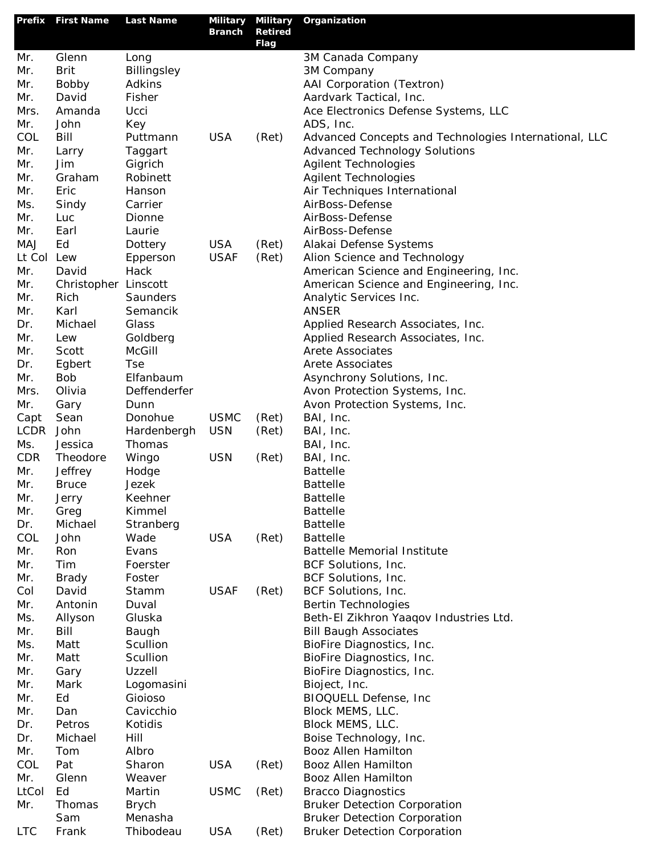| Prefix     | <b>First Name</b>    | <b>Last Name</b> | Military Military |                               | Organization                                                         |
|------------|----------------------|------------------|-------------------|-------------------------------|----------------------------------------------------------------------|
|            |                      |                  | <b>Branch</b>     | <b>Retired</b><br><b>Flag</b> |                                                                      |
| Mr.        | Glenn                | Long             |                   |                               | 3M Canada Company                                                    |
| Mr.        | <b>Brit</b>          | Billingsley      |                   |                               | 3M Company                                                           |
| Mr.        | Bobby                | Adkins           |                   |                               | AAI Corporation (Textron)                                            |
| Mr.        | David                | Fisher           |                   |                               | Aardvark Tactical, Inc.                                              |
| Mrs.       | Amanda               | Ucci             |                   |                               | Ace Electronics Defense Systems, LLC                                 |
| Mr.        | John                 | Key              |                   |                               | ADS, Inc.                                                            |
| COL        | Bill                 | Puttmann         | <b>USA</b>        | (Ret)                         | Advanced Concepts and Technologies International, LLC                |
| Mr.        | Larry                | Taggart          |                   |                               | <b>Advanced Technology Solutions</b>                                 |
| Mr.        | Jim                  | Gigrich          |                   |                               | <b>Agilent Technologies</b>                                          |
| Mr.        | Graham               | Robinett         |                   |                               | <b>Agilent Technologies</b>                                          |
| Mr.        | Eric                 | Hanson           |                   |                               | Air Techniques International                                         |
| Ms.        | Sindy                | Carrier          |                   |                               | AirBoss-Defense                                                      |
| Mr.        | Luc                  | Dionne           |                   |                               | AirBoss-Defense                                                      |
| Mr.        | Earl                 | Laurie           |                   |                               | AirBoss-Defense                                                      |
| MAJ        | Ed                   | Dottery          | <b>USA</b>        | (Ret)                         | Alakai Defense Systems                                               |
| Lt Col     | Lew                  | Epperson         | <b>USAF</b>       | (Ret)                         | Alion Science and Technology                                         |
| Mr.        | David                | Hack             |                   |                               | American Science and Engineering, Inc.                               |
| Mr.        | Christopher Linscott |                  |                   |                               | American Science and Engineering, Inc.                               |
| Mr.        | Rich                 | Saunders         |                   |                               | Analytic Services Inc.                                               |
| Mr.        | Karl                 | Semancik         |                   |                               | <b>ANSER</b>                                                         |
| Dr.        | Michael              | Glass            |                   |                               | Applied Research Associates, Inc.                                    |
| Mr.        | Lew                  | Goldberg         |                   |                               | Applied Research Associates, Inc.                                    |
| Mr.        | Scott                | <b>McGill</b>    |                   |                               | <b>Arete Associates</b>                                              |
| Dr.        | Egbert               | <b>Tse</b>       |                   |                               | <b>Arete Associates</b>                                              |
| Mr.        | <b>Bob</b>           | Elfanbaum        |                   |                               | Asynchrony Solutions, Inc.                                           |
| Mrs.       | Olivia               | Deffenderfer     |                   |                               | Avon Protection Systems, Inc.                                        |
| Mr.        | Gary                 | Dunn             |                   |                               | Avon Protection Systems, Inc.                                        |
| Capt       | Sean                 | Donohue          | <b>USMC</b>       | (Ret)                         | BAI, Inc.                                                            |
| LCDR       | John                 | Hardenbergh      | <b>USN</b>        | (Ret)                         | BAI, Inc.                                                            |
| Ms.        | Jessica              | Thomas           |                   |                               | BAI, Inc.                                                            |
| <b>CDR</b> | Theodore             | Wingo            | <b>USN</b>        | (Ret)                         | BAI, Inc.                                                            |
| Mr.        | Jeffrey              | Hodge            |                   |                               | <b>Battelle</b>                                                      |
| Mr.        | <b>Bruce</b>         | <b>Jezek</b>     |                   |                               | <b>Battelle</b>                                                      |
| Mr.        | Jerry                | Keehner          |                   |                               | <b>Battelle</b>                                                      |
| Mr.        | Greg                 | Kimmel           |                   |                               | <b>Battelle</b>                                                      |
| Dr.        | Michael              | Stranberg        |                   |                               | <b>Battelle</b>                                                      |
| COL        | John                 | Wade             | <b>USA</b>        | (Ret)                         | <b>Battelle</b>                                                      |
| Mr.        | Ron                  | Evans            |                   |                               | <b>Battelle Memorial Institute</b>                                   |
| Mr.        | Tim                  | Foerster         |                   |                               | BCF Solutions, Inc.                                                  |
| Mr.        | <b>Brady</b>         | Foster           |                   |                               | BCF Solutions, Inc.                                                  |
| Col        | David<br>Antonin     | Stamm<br>Duval   | <b>USAF</b>       | (Ret)                         | BCF Solutions, Inc.                                                  |
| Mr.<br>Ms. |                      | Gluska           |                   |                               | <b>Bertin Technologies</b><br>Beth-El Zikhron Yaaqov Industries Ltd. |
| Mr.        | Allyson<br>Bill      | Baugh            |                   |                               | <b>Bill Baugh Associates</b>                                         |
| Ms.        | Matt                 | Scullion         |                   |                               | BioFire Diagnostics, Inc.                                            |
| Mr.        | Matt                 | Scullion         |                   |                               | BioFire Diagnostics, Inc.                                            |
| Mr.        | Gary                 | Uzzell           |                   |                               | BioFire Diagnostics, Inc.                                            |
| Mr.        | Mark                 | Logomasini       |                   |                               | Bioject, Inc.                                                        |
| Mr.        | Ed                   | Gioioso          |                   |                               | BIOQUELL Defense, Inc                                                |
| Mr.        | Dan                  | Cavicchio        |                   |                               | Block MEMS, LLC.                                                     |
| Dr.        | Petros               | Kotidis          |                   |                               | Block MEMS, LLC.                                                     |
| Dr.        | Michael              | Hill             |                   |                               | Boise Technology, Inc.                                               |
| Mr.        | Tom                  | Albro            |                   |                               | Booz Allen Hamilton                                                  |
| COL        | Pat                  | Sharon           | <b>USA</b>        | (Ret)                         | Booz Allen Hamilton                                                  |
| Mr.        | Glenn                | Weaver           |                   |                               | Booz Allen Hamilton                                                  |
| LtCol      | Ed                   | Martin           | <b>USMC</b>       | (Ret)                         | <b>Bracco Diagnostics</b>                                            |
| Mr.        | Thomas               | <b>Brych</b>     |                   |                               | <b>Bruker Detection Corporation</b>                                  |
|            | Sam                  | Menasha          |                   |                               | <b>Bruker Detection Corporation</b>                                  |
| <b>LTC</b> | Frank                | Thibodeau        | <b>USA</b>        | (Ret)                         | <b>Bruker Detection Corporation</b>                                  |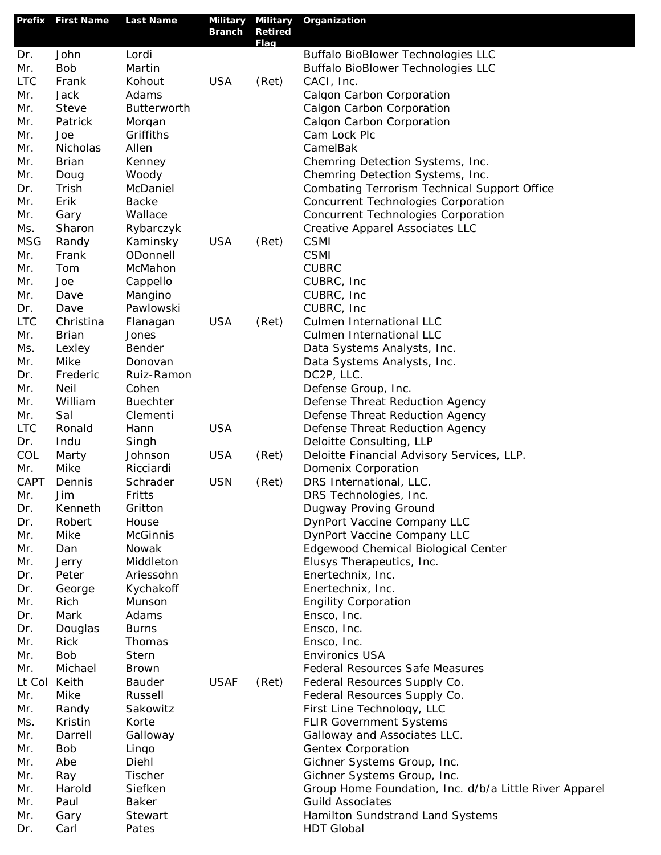| Prefix      | <b>First Name</b> | <b>Last Name</b>        | <b>Military</b> | <b>Military</b>        | Organization                                                           |
|-------------|-------------------|-------------------------|-----------------|------------------------|------------------------------------------------------------------------|
|             |                   |                         | <b>Branch</b>   | <b>Retired</b><br>Flag |                                                                        |
| Dr.         | John              | Lordi                   |                 |                        | <b>Buffalo BioBlower Technologies LLC</b>                              |
| Mr.         | <b>Bob</b>        | Martin                  |                 |                        | <b>Buffalo BioBlower Technologies LLC</b>                              |
| <b>LTC</b>  | Frank             | Kohout                  | <b>USA</b>      | (Ret)                  | CACI, Inc.                                                             |
| Mr.         | Jack              | Adams                   |                 |                        | Calgon Carbon Corporation                                              |
| Mr.         | Steve             | <b>Butterworth</b>      |                 |                        | Calgon Carbon Corporation                                              |
| Mr.         | Patrick           | Morgan                  |                 |                        | Calgon Carbon Corporation                                              |
| Mr.         | Joe               | Griffiths               |                 |                        | Cam Lock Plc                                                           |
| Mr.         | Nicholas          | Allen                   |                 |                        | CamelBak                                                               |
| Mr.         | <b>Brian</b>      | Kenney                  |                 |                        | Chemring Detection Systems, Inc.                                       |
| Mr.         | Doug              | Woody                   |                 |                        | Chemring Detection Systems, Inc.                                       |
| Dr.         | Trish             | McDaniel                |                 |                        | <b>Combating Terrorism Technical Support Office</b>                    |
| Mr.         | Erik              | <b>Backe</b><br>Wallace |                 |                        | <b>Concurrent Technologies Corporation</b>                             |
| Mr.<br>Ms.  | Gary<br>Sharon    | Rybarczyk               |                 |                        | Concurrent Technologies Corporation<br>Creative Apparel Associates LLC |
| <b>MSG</b>  | Randy             | Kaminsky                | <b>USA</b>      | (Ret)                  | <b>CSMI</b>                                                            |
| Mr.         | Frank             | ODonnell                |                 |                        | <b>CSMI</b>                                                            |
| Mr.         | Tom               | McMahon                 |                 |                        | <b>CUBRC</b>                                                           |
| Mr.         | Joe               | Cappello                |                 |                        | CUBRC, Inc.                                                            |
| Mr.         | Dave              | Mangino                 |                 |                        | CUBRC, Inc.                                                            |
| Dr.         | Dave              | Pawlowski               |                 |                        | CUBRC, Inc.                                                            |
| <b>LTC</b>  | Christina         | Flanagan                | <b>USA</b>      | (Ret)                  | Culmen International LLC                                               |
| Mr.         | <b>Brian</b>      | Jones                   |                 |                        | Culmen International LLC                                               |
| Ms.         | Lexley            | Bender                  |                 |                        | Data Systems Analysts, Inc.                                            |
| Mr.         | Mike              | Donovan                 |                 |                        | Data Systems Analysts, Inc.                                            |
| Dr.         | Frederic          | Ruiz-Ramon              |                 |                        | DC2P, LLC.                                                             |
| Mr.         | Neil              | Cohen                   |                 |                        | Defense Group, Inc.                                                    |
| Mr.         | William           | <b>Buechter</b>         |                 |                        | Defense Threat Reduction Agency                                        |
| Mr.         | Sal               | Clementi                |                 |                        | Defense Threat Reduction Agency                                        |
| <b>LTC</b>  | Ronald            | Hann                    | <b>USA</b>      |                        | Defense Threat Reduction Agency                                        |
| Dr.         | Indu              | Singh                   |                 |                        | Deloitte Consulting, LLP                                               |
| COL         | Marty             | Johnson                 | <b>USA</b>      | (Ret)                  | Deloitte Financial Advisory Services, LLP.                             |
| Mr.<br>CAPT | Mike<br>Dennis    | Ricciardi<br>Schrader   | <b>USN</b>      |                        | Domenix Corporation<br>DRS International, LLC.                         |
| Mr.         | Jim               | Fritts                  |                 | (Ret)                  | DRS Technologies, Inc.                                                 |
| Dr.         | Kenneth           | Gritton                 |                 |                        | Dugway Proving Ground                                                  |
| Dr.         | Robert            | House                   |                 |                        | DynPort Vaccine Company LLC                                            |
| Mr.         | Mike              | <b>McGinnis</b>         |                 |                        | DynPort Vaccine Company LLC                                            |
| Mr.         | Dan               | Nowak                   |                 |                        | Edgewood Chemical Biological Center                                    |
| Mr.         | Jerry             | Middleton               |                 |                        | Elusys Therapeutics, Inc.                                              |
| Dr.         | Peter             | Ariessohn               |                 |                        | Enertechnix, Inc.                                                      |
| Dr.         | George            | Kychakoff               |                 |                        | Enertechnix, Inc.                                                      |
| Mr.         | Rich              | Munson                  |                 |                        | <b>Engility Corporation</b>                                            |
| Dr.         | Mark              | Adams                   |                 |                        | Ensco, Inc.                                                            |
| Dr.         | Douglas           | <b>Burns</b>            |                 |                        | Ensco, Inc.                                                            |
| Mr.         | <b>Rick</b>       | Thomas                  |                 |                        | Ensco, Inc.                                                            |
| Mr.         | <b>Bob</b>        | <b>Stern</b>            |                 |                        | <b>Environics USA</b>                                                  |
| Mr.         | Michael           | <b>Brown</b>            |                 |                        | Federal Resources Safe Measures                                        |
| Lt Col      | Keith             | Bauder                  | <b>USAF</b>     | (Ret)                  | Federal Resources Supply Co.                                           |
| Mr.         | Mike              | Russell                 |                 |                        | Federal Resources Supply Co.                                           |
| Mr.         | Randy<br>Kristin  | Sakowitz<br>Korte       |                 |                        | First Line Technology, LLC                                             |
| Ms.<br>Mr.  | Darrell           | Galloway                |                 |                        | <b>FLIR Government Systems</b><br>Galloway and Associates LLC.         |
| Mr.         | <b>Bob</b>        | Lingo                   |                 |                        | Gentex Corporation                                                     |
| Mr.         | Abe               | Diehl                   |                 |                        | Gichner Systems Group, Inc.                                            |
| Mr.         | Ray               | Tischer                 |                 |                        | Gichner Systems Group, Inc.                                            |
| Mr.         | Harold            | Siefken                 |                 |                        | Group Home Foundation, Inc. d/b/a Little River Apparel                 |
| Mr.         | Paul              | <b>Baker</b>            |                 |                        | <b>Guild Associates</b>                                                |
| Mr.         | Gary              | Stewart                 |                 |                        | Hamilton Sundstrand Land Systems                                       |
| Dr.         | Carl              | Pates                   |                 |                        | <b>HDT Global</b>                                                      |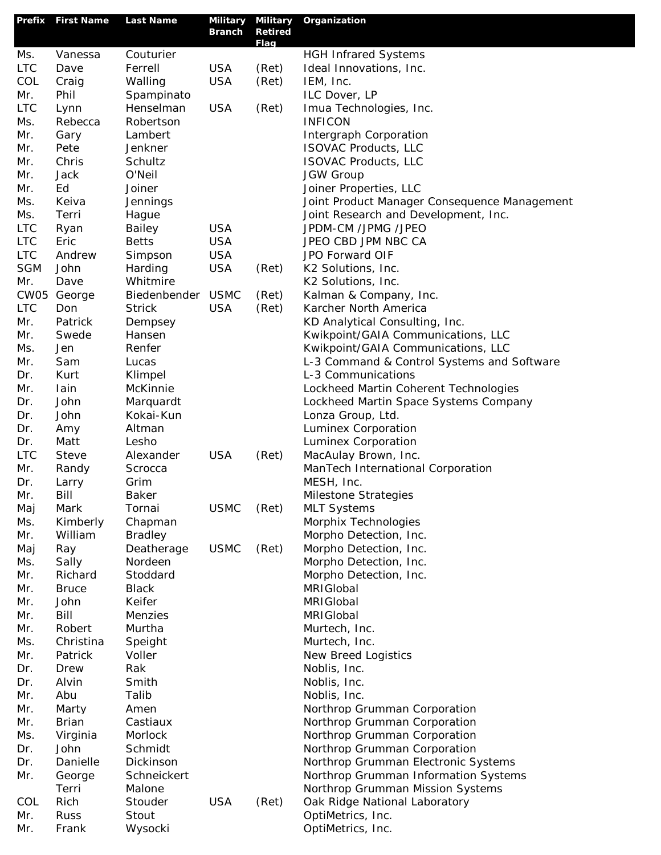| Prefix     | <b>First Name</b> | <b>Last Name</b> | Military<br><b>Branch</b> | <b>Military</b><br><b>Retired</b> | Organization                                 |
|------------|-------------------|------------------|---------------------------|-----------------------------------|----------------------------------------------|
| Ms.        | Vanessa           | Couturier        |                           | Flag                              | <b>HGH Infrared Systems</b>                  |
| <b>LTC</b> | Dave              | Ferrell          | <b>USA</b>                | (Ret)                             | Ideal Innovations, Inc.                      |
| COL        | Craig             | Walling          | <b>USA</b>                | (Ret)                             | IEM, Inc.                                    |
| Mr.        | Phil              | Spampinato       |                           |                                   | ILC Dover, LP                                |
| <b>LTC</b> | Lynn              | Henselman        | <b>USA</b>                | (Ret)                             | Imua Technologies, Inc.                      |
| Ms.        | Rebecca           | Robertson        |                           |                                   | <b>INFICON</b>                               |
| Mr.        | Gary              | Lambert          |                           |                                   | Intergraph Corporation                       |
| Mr.        | Pete              | Jenkner          |                           |                                   | <b>ISOVAC Products, LLC</b>                  |
| Mr.        | Chris             | Schultz          |                           |                                   | <b>ISOVAC Products, LLC</b>                  |
| Mr.        | Jack              | O'Neil           |                           |                                   | <b>JGW Group</b>                             |
| Mr.        | Ed                | Joiner           |                           |                                   | Joiner Properties, LLC                       |
| Ms.        | Keiva             | Jennings         |                           |                                   | Joint Product Manager Consequence Management |
| Ms.        | Terri             | Hague            |                           |                                   | Joint Research and Development, Inc.         |
| <b>LTC</b> | Ryan              | Bailey           | <b>USA</b>                |                                   | JPDM-CM /JPMG /JPEO                          |
| <b>LTC</b> | Eric              | <b>Betts</b>     | <b>USA</b>                |                                   | JPEO CBD JPM NBC CA                          |
| <b>LTC</b> | Andrew            | Simpson          | <b>USA</b>                |                                   | JPO Forward OIF                              |
| <b>SGM</b> | John              | Harding          | <b>USA</b>                | (Ret)                             | K2 Solutions, Inc.                           |
| Mr.        | Dave              | Whitmire         |                           |                                   | K2 Solutions, Inc.                           |
| CW05       | George            | Biedenbender     | <b>USMC</b>               | (Ret)                             | Kalman & Company, Inc.                       |
| <b>LTC</b> | Don               | <b>Strick</b>    | <b>USA</b>                | (Ret)                             | Karcher North America                        |
| Mr.        | Patrick           | Dempsey          |                           |                                   | KD Analytical Consulting, Inc.               |
| Mr.        | Swede             | Hansen           |                           |                                   | Kwikpoint/GAIA Communications, LLC           |
| Ms.        | Jen               | Renfer           |                           |                                   | Kwikpoint/GAIA Communications, LLC           |
| Mr.        | Sam               | Lucas            |                           |                                   | L-3 Command & Control Systems and Software   |
| Dr.        | Kurt              | Klimpel          |                           |                                   | L-3 Communications                           |
| Mr.        | lain              | McKinnie         |                           |                                   | Lockheed Martin Coherent Technologies        |
| Dr.        | John              | Marquardt        |                           |                                   | Lockheed Martin Space Systems Company        |
| Dr.        | John              | Kokai-Kun        |                           |                                   | Lonza Group, Ltd.                            |
| Dr.        | Amy               | Altman           |                           |                                   | Luminex Corporation                          |
| Dr.        | Matt              | Lesho            |                           |                                   | Luminex Corporation                          |
| <b>LTC</b> | <b>Steve</b>      | Alexander        | <b>USA</b>                | (Ret)                             | MacAulay Brown, Inc.                         |
| Mr.        | Randy             | Scrocca          |                           |                                   | ManTech International Corporation            |
| Dr.        | Larry             | Grim             |                           |                                   | MESH, Inc.                                   |
| Mr.        | Bill              | <b>Baker</b>     |                           |                                   | Milestone Strategies                         |
| Maj        | Mark              | Tornai           | <b>USMC</b>               | (Ret)                             | <b>MLT Systems</b>                           |
| Ms.        | Kimberly          | Chapman          |                           |                                   | Morphix Technologies                         |
| Mr.        | William           | <b>Bradley</b>   |                           |                                   | Morpho Detection, Inc.                       |
| Maj        | Ray               | Deatherage       | <b>USMC</b>               | (Ret)                             | Morpho Detection, Inc.                       |
| Ms.        | Sally             | Nordeen          |                           |                                   | Morpho Detection, Inc.                       |
| Mr.        | Richard           | Stoddard         |                           |                                   | Morpho Detection, Inc.                       |
| Mr.        | <b>Bruce</b>      | <b>Black</b>     |                           |                                   | MRIGIobal                                    |
| Mr.        | John              | Keifer           |                           |                                   | MRIGIobal                                    |
| Mr.        | Bill              | Menzies          |                           |                                   | MRIGIobal                                    |
| Mr.        | Robert            | Murtha           |                           |                                   | Murtech, Inc.                                |
| Ms.        | Christina         | Speight          |                           |                                   | Murtech, Inc.                                |
| Mr.        | Patrick           | Voller           |                           |                                   | New Breed Logistics                          |
| Dr.        | Drew              | Rak              |                           |                                   | Noblis, Inc.                                 |
| Dr.        | Alvin             | Smith            |                           |                                   | Noblis, Inc.                                 |
| Mr.        | Abu               | Talib            |                           |                                   | Noblis, Inc.                                 |
| Mr.        | Marty             | Amen             |                           |                                   | Northrop Grumman Corporation                 |
| Mr.        | <b>Brian</b>      | Castiaux         |                           |                                   | Northrop Grumman Corporation                 |
| Ms.        | Virginia          | Morlock          |                           |                                   | Northrop Grumman Corporation                 |
| Dr.        | John              | Schmidt          |                           |                                   | Northrop Grumman Corporation                 |
| Dr.        | Danielle          | Dickinson        |                           |                                   | Northrop Grumman Electronic Systems          |
| Mr.        | George            | Schneickert      |                           |                                   | Northrop Grumman Information Systems         |
|            | Terri             | Malone           |                           |                                   | Northrop Grumman Mission Systems             |
| COL        | Rich              | Stouder          | <b>USA</b>                | (Ret)                             | Oak Ridge National Laboratory                |
| Mr.        | <b>Russ</b>       | Stout            |                           |                                   | OptiMetrics, Inc.                            |
| Mr.        | Frank             | Wysocki          |                           |                                   | OptiMetrics, Inc.                            |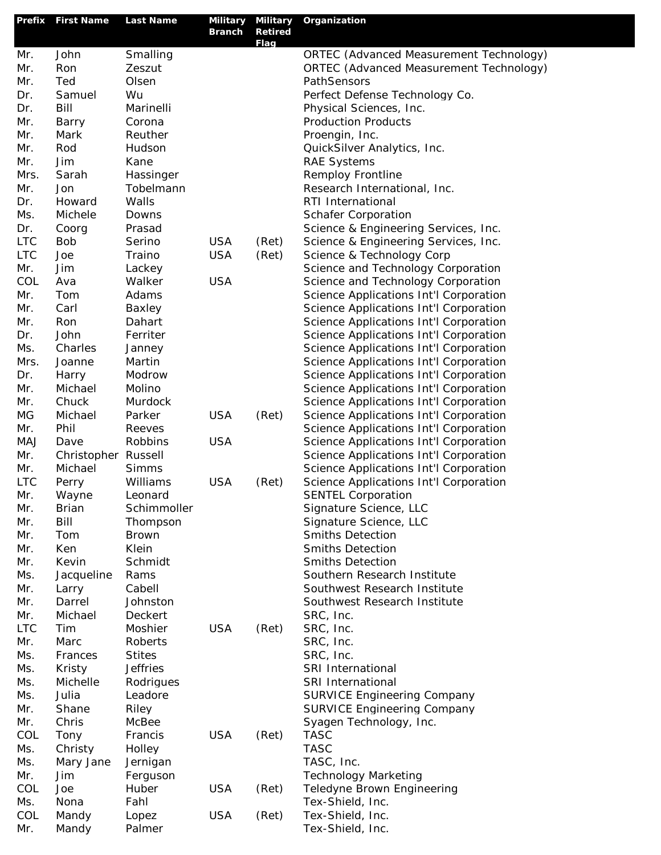|                   | Prefix First Name | <b>Last Name</b>   | Military Military<br><b>Branch</b> | <b>Retired</b> | Organization                                          |
|-------------------|-------------------|--------------------|------------------------------------|----------------|-------------------------------------------------------|
|                   |                   |                    |                                    | Flag           |                                                       |
| Mr.               | John              | Smalling           |                                    |                | ORTEC (Advanced Measurement Technology)               |
| Mr.               | Ron               | Zeszut             |                                    |                | ORTEC (Advanced Measurement Technology)               |
| Mr.               | Ted               | Olsen              |                                    |                | PathSensors                                           |
| Dr.<br>Dr.        | Samuel<br>Bill    | Wu<br>Marinelli    |                                    |                | Perfect Defense Technology Co.                        |
| Mr.               |                   | Corona             |                                    |                | Physical Sciences, Inc.<br><b>Production Products</b> |
| Mr.               | Barry<br>Mark     | Reuther            |                                    |                | Proengin, Inc.                                        |
| Mr.               | Rod               | Hudson             |                                    |                | QuickSilver Analytics, Inc.                           |
| Mr.               | Jim               | Kane               |                                    |                | <b>RAE Systems</b>                                    |
| Mrs.              | Sarah             | Hassinger          |                                    |                | Remploy Frontline                                     |
| Mr.               | Jon               | Tobelmann          |                                    |                | Research International, Inc.                          |
| Dr.               | Howard            | Walls              |                                    |                | RTI International                                     |
| Ms.               | Michele           | Downs              |                                    |                | <b>Schafer Corporation</b>                            |
| Dr.               | Coorg             | Prasad             |                                    |                | Science & Engineering Services, Inc.                  |
| <b>LTC</b>        | <b>Bob</b>        | Serino             | <b>USA</b>                         | (Ret)          | Science & Engineering Services, Inc.                  |
| <b>LTC</b>        | Joe               | Traino             | <b>USA</b>                         | (Ret)          | Science & Technology Corp                             |
| Mr.               | Jim               | Lackey             |                                    |                | Science and Technology Corporation                    |
| COL               | Ava               | Walker             | <b>USA</b>                         |                | Science and Technology Corporation                    |
| Mr.               | Tom               | Adams              |                                    |                | Science Applications Int'l Corporation                |
| Mr.               | Carl              | Baxley             |                                    |                | Science Applications Int'l Corporation                |
| Mr.               | Ron               | Dahart             |                                    |                | Science Applications Int'l Corporation                |
| Dr.               | John              | Ferriter           |                                    |                | Science Applications Int'l Corporation                |
| Ms.               | Charles           | Janney             |                                    |                | Science Applications Int'l Corporation                |
| Mrs.              | Joanne            | Martin             |                                    |                | Science Applications Int'l Corporation                |
| Dr.               | Harry             | Modrow             |                                    |                | Science Applications Int'l Corporation                |
| Mr.               | Michael           | Molino             |                                    |                | Science Applications Int'l Corporation                |
| Mr.               | Chuck             | Murdock            |                                    |                | Science Applications Int'l Corporation                |
| MG                | Michael           | Parker             | <b>USA</b>                         | (Ret)          | Science Applications Int'l Corporation                |
| Mr.               | Phil              | Reeves             |                                    |                | Science Applications Int'l Corporation                |
| <b>MAJ</b>        | Dave              | Robbins            | <b>USA</b>                         |                | Science Applications Int'l Corporation                |
| Mr.               | Christopher       | Russell            |                                    |                | Science Applications Int'l Corporation                |
| Mr.               | Michael           | <b>Simms</b>       |                                    |                | Science Applications Int'l Corporation                |
| <b>LTC</b>        | Perry             | Williams           | <b>USA</b>                         | (Ret)          | Science Applications Int'l Corporation                |
| Mr.               | Wayne             | Leonard            |                                    |                | <b>SENTEL Corporation</b>                             |
| Mr.               | Brian             | Schimmoller        |                                    |                | Signature Science, LLC                                |
| Mr.               | Bill              | Thompson           |                                    |                | Signature Science, LLC                                |
| Mr.               | Tom               | <b>Brown</b>       |                                    |                | <b>Smiths Detection</b>                               |
| Mr.               | Ken               | Klein              |                                    |                | <b>Smiths Detection</b>                               |
| Mr.               | Kevin             | Schmidt            |                                    |                | <b>Smiths Detection</b>                               |
| Ms.               | Jacqueline        | Rams               |                                    |                | Southern Research Institute                           |
| Mr.               | Larry             | Cabell             |                                    |                | Southwest Research Institute                          |
| Mr.               | Darrel<br>Michael | Johnston           |                                    |                | Southwest Research Institute<br>SRC, Inc.             |
| Mr.<br><b>LTC</b> | Tim               | Deckert<br>Moshier | <b>USA</b>                         | (Ret)          | SRC, Inc.                                             |
| Mr.               | Marc              | Roberts            |                                    |                | SRC, Inc.                                             |
| Ms.               | Frances           | <b>Stites</b>      |                                    |                | SRC, Inc.                                             |
| Ms.               | Kristy            | <b>Jeffries</b>    |                                    |                | SRI International                                     |
| Ms.               | Michelle          | Rodrigues          |                                    |                | SRI International                                     |
| Ms.               | Julia             | Leadore            |                                    |                | <b>SURVICE Engineering Company</b>                    |
| Mr.               | Shane             | Riley              |                                    |                | <b>SURVICE Engineering Company</b>                    |
| Mr.               | Chris             | McBee              |                                    |                | Syagen Technology, Inc.                               |
| COL               | Tony              | Francis            | <b>USA</b>                         | (Ret)          | <b>TASC</b>                                           |
| Ms.               | Christy           | Holley             |                                    |                | <b>TASC</b>                                           |
| Ms.               | Mary Jane         | Jernigan           |                                    |                | TASC, Inc.                                            |
| Mr.               | Jim               | Ferguson           |                                    |                | <b>Technology Marketing</b>                           |
| COL               | Joe               | Huber              | <b>USA</b>                         | (Ret)          | Teledyne Brown Engineering                            |
| Ms.               | Nona              | Fahl               |                                    |                | Tex-Shield, Inc.                                      |
| COL               | Mandy             | Lopez              | <b>USA</b>                         | (Ret)          | Tex-Shield, Inc.                                      |
| Mr.               | Mandy             | Palmer             |                                    |                | Tex-Shield, Inc.                                      |